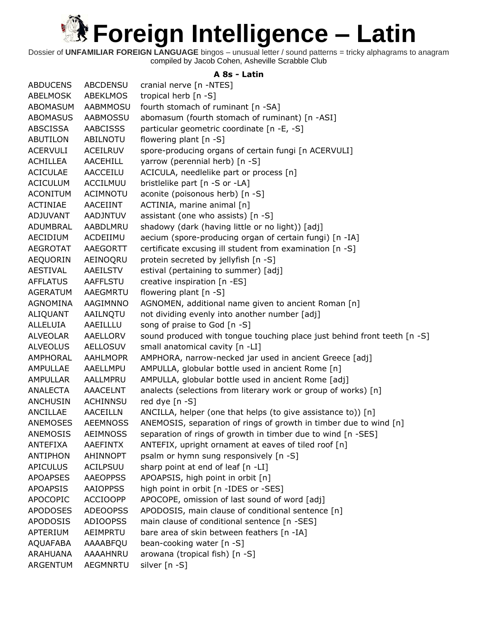Dossier of **UNFAMILIAR FOREIGN LANGUAGE** bingos – unusual letter / sound patterns = tricky alphagrams to anagram compiled by Jacob Cohen, Asheville Scrabble Club

#### **A 8s - Latin**

| <b>ABDUCENS</b> | <b>ABCDENSU</b> | cranial nerve [n -NTES]                                                  |
|-----------------|-----------------|--------------------------------------------------------------------------|
| ABELMOSK        | <b>ABEKLMOS</b> | tropical herb [n -S]                                                     |
| ABOMASUM        | <b>AABMMOSU</b> | fourth stomach of ruminant [n -SA]                                       |
| <b>ABOMASUS</b> | <b>AABMOSSU</b> | abomasum (fourth stomach of ruminant) [n -ASI]                           |
| ABSCISSA        | <b>AABCISSS</b> | particular geometric coordinate [n -E, -S]                               |
| <b>ABUTILON</b> | ABILNOTU        | flowering plant [n -S]                                                   |
| <b>ACERVULI</b> | ACEILRUV        | spore-producing organs of certain fungi [n ACERVULI]                     |
| <b>ACHILLEA</b> | <b>AACEHILL</b> | yarrow (perennial herb) [n -S]                                           |
| <b>ACICULAE</b> | AACCEILU        | ACICULA, needlelike part or process [n]                                  |
| <b>ACICULUM</b> | ACCILMUU        | bristlelike part [n -S or -LA]                                           |
| <b>ACONITUM</b> | ACIMNOTU        | aconite (poisonous herb) [n -S]                                          |
| <b>ACTINIAE</b> | AACEIINT        | ACTINIA, marine animal [n]                                               |
| <b>ADJUVANT</b> | AADJNTUV        | assistant (one who assists) [n -S]                                       |
| ADUMBRAL        | AABDLMRU        | shadowy (dark (having little or no light)) [adj]                         |
| AECIDIUM        | ACDEIIMU        | aecium (spore-producing organ of certain fungi) [n -IA]                  |
| <b>AEGROTAT</b> | AAEGORTT        | certificate excusing ill student from examination [n -S]                 |
| AEQUORIN        | AEINOQRU        | protein secreted by jellyfish [n -S]                                     |
| <b>AESTIVAL</b> | AAEILSTV        | estival (pertaining to summer) [adj]                                     |
| <b>AFFLATUS</b> | <b>AAFFLSTU</b> | creative inspiration [n -ES]                                             |
| <b>AGERATUM</b> | AAEGMRTU        | flowering plant [n -S]                                                   |
| AGNOMINA        | AAGIMNNO        | AGNOMEN, additional name given to ancient Roman [n]                      |
| ALIQUANT        | AAILNQTU        | not dividing evenly into another number [adj]                            |
| ALLELUIA        | AAEILLLU        | song of praise to God [n -S]                                             |
| ALVEOLAR        | AAELLORV        | sound produced with tongue touching place just behind front teeth [n -S] |
| <b>ALVEOLUS</b> | <b>AELLOSUV</b> | small anatomical cavity [n -LI]                                          |
| AMPHORAL        | <b>AAHLMOPR</b> | AMPHORA, narrow-necked jar used in ancient Greece [adj]                  |
| AMPULLAE        | AAELLMPU        | AMPULLA, globular bottle used in ancient Rome [n]                        |
| AMPULLAR        | AALLMPRU        | AMPULLA, globular bottle used in ancient Rome [adj]                      |
| ANALECTA        | AAACELNT        | analects (selections from literary work or group of works) [n]           |
| ANCHUSIN        | <b>ACHINNSU</b> | red dye [n -S]                                                           |
| ANCILLAE        | <b>AACEILLN</b> | ANCILLA, helper (one that helps (to give assistance to)) [n]             |
| ANEMOSES        | <b>AEEMNOSS</b> | ANEMOSIS, separation of rings of growth in timber due to wind [n]        |
| <b>ANEMOSIS</b> | <b>AEIMNOSS</b> | separation of rings of growth in timber due to wind [n -SES]             |
| ANTEFIXA        | <b>AAEFINTX</b> | ANTEFIX, upright ornament at eaves of tiled roof [n]                     |
| ANTIPHON        | <b>AHINNOPT</b> | psalm or hymn sung responsively [n -S]                                   |
| <b>APICULUS</b> | ACILPSUU        | sharp point at end of leaf [n -LI]                                       |
| <b>APOAPSES</b> | <b>AAEOPPSS</b> | APOAPSIS, high point in orbit [n]                                        |
| <b>APOAPSIS</b> | <b>AAIOPPSS</b> | high point in orbit [n -IDES or -SES]                                    |
| <b>APOCOPIC</b> | <b>ACCIOOPP</b> | APOCOPE, omission of last sound of word [adj]                            |
| <b>APODOSES</b> | <b>ADEOOPSS</b> | APODOSIS, main clause of conditional sentence [n]                        |
| <b>APODOSIS</b> | <b>ADIOOPSS</b> | main clause of conditional sentence [n -SES]                             |
| APTERIUM        | AEIMPRTU        | bare area of skin between feathers [n -IA]                               |
| <b>AQUAFABA</b> | AAAABFQU        | bean-cooking water [n -S]                                                |
| ARAHUANA        | AAAAHNRU        | arowana (tropical fish) [n -S]                                           |
| ARGENTUM        | <b>AEGMNRTU</b> | silver [n -S]                                                            |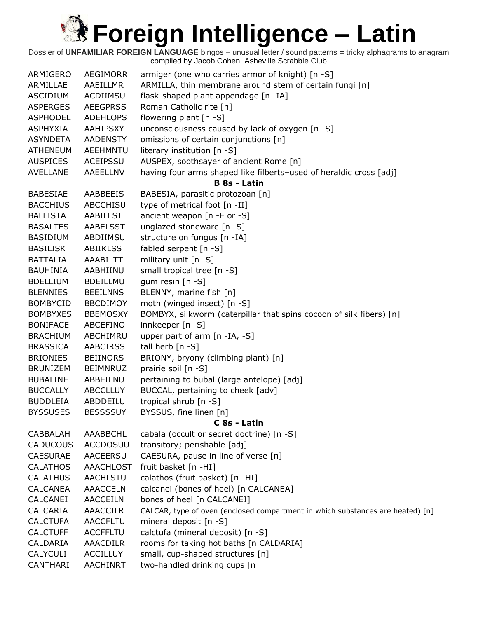| ARMIGERO        | <b>AEGIMORR</b>  | armiger (one who carries armor of knight) [n -S]                               |
|-----------------|------------------|--------------------------------------------------------------------------------|
| ARMILLAE        | AAEILLMR         | ARMILLA, thin membrane around stem of certain fungi [n]                        |
| <b>ASCIDIUM</b> | ACDIIMSU         | flask-shaped plant appendage [n -IA]                                           |
| <b>ASPERGES</b> | <b>AEEGPRSS</b>  | Roman Catholic rite [n]                                                        |
| <b>ASPHODEL</b> | <b>ADEHLOPS</b>  | flowering plant $[n -S]$                                                       |
| <b>ASPHYXIA</b> | AAHIPSXY         | unconsciousness caused by lack of oxygen [n -S]                                |
| <b>ASYNDETA</b> | <b>AADENSTY</b>  | omissions of certain conjunctions [n]                                          |
| <b>ATHENEUM</b> | <b>AEEHMNTU</b>  | literary institution [n -S]                                                    |
| <b>AUSPICES</b> | <b>ACEIPSSU</b>  | AUSPEX, soothsayer of ancient Rome [n]                                         |
| <b>AVELLANE</b> | AAEELLNV         | having four arms shaped like filberts-used of heraldic cross [adj]             |
|                 |                  | <b>B</b> 8s - Latin                                                            |
| <b>BABESIAE</b> | AABBEEIS         | BABESIA, parasitic protozoan [n]                                               |
| <b>BACCHIUS</b> | <b>ABCCHISU</b>  | type of metrical foot [n -II]                                                  |
| <b>BALLISTA</b> | <b>AABILLST</b>  | ancient weapon [n -E or -S]                                                    |
| <b>BASALTES</b> | <b>AABELSST</b>  | unglazed stoneware [n -S]                                                      |
| <b>BASIDIUM</b> | ABDIIMSU         | structure on fungus [n -IA]                                                    |
| <b>BASILISK</b> | <b>ABIIKLSS</b>  | fabled serpent [n -S]                                                          |
| <b>BATTALIA</b> | AAABILTT         | military unit [n -S]                                                           |
| <b>BAUHINIA</b> | AABHIINU         | small tropical tree [n -S]                                                     |
| <b>BDELLIUM</b> | <b>BDEILLMU</b>  | gum resin $[n - S]$                                                            |
| <b>BLENNIES</b> | <b>BEEILNNS</b>  | BLENNY, marine fish [n]                                                        |
| <b>BOMBYCID</b> | <b>BBCDIMOY</b>  | moth (winged insect) [n -S]                                                    |
| <b>BOMBYXES</b> | <b>BBEMOSXY</b>  | BOMBYX, silkworm (caterpillar that spins cocoon of silk fibers) [n]            |
| <b>BONIFACE</b> | ABCEFINO         | innkeeper [n -S]                                                               |
| <b>BRACHIUM</b> | ABCHIMRU         | upper part of arm [n -IA, -S]                                                  |
| <b>BRASSICA</b> | <b>AABCIRSS</b>  | tall herb [n -S]                                                               |
| <b>BRIONIES</b> | <b>BEIINORS</b>  | BRIONY, bryony (climbing plant) [n]                                            |
| <b>BRUNIZEM</b> | <b>BEIMNRUZ</b>  | prairie soil [n -S]                                                            |
| <b>BUBALINE</b> | ABBEILNU         | pertaining to bubal (large antelope) [adj]                                     |
| <b>BUCCALLY</b> | <b>ABCCLLUY</b>  | BUCCAL, pertaining to cheek [adv]                                              |
| <b>BUDDLEIA</b> | ABDDEILU         | tropical shrub [n -S]                                                          |
| <b>BYSSUSES</b> | <b>BESSSSUY</b>  |                                                                                |
|                 |                  | BYSSUS, fine linen [n]                                                         |
|                 |                  | C 8s - Latin<br>cabala (occult or secret doctrine) [n -S]                      |
| CABBALAH        | AAABBCHL         |                                                                                |
| <b>CADUCOUS</b> | <b>ACCDOSUU</b>  | transitory; perishable [adj]                                                   |
| <b>CAESURAE</b> | <b>AACEERSU</b>  | CAESURA, pause in line of verse [n]                                            |
| <b>CALATHOS</b> | <b>AAACHLOST</b> | fruit basket [n -HI]                                                           |
| <b>CALATHUS</b> | <b>AACHLSTU</b>  | calathos (fruit basket) [n -HI]                                                |
| <b>CALCANEA</b> | <b>AAACCELN</b>  | calcanei (bones of heel) [n CALCANEA]                                          |
| CALCANEI        | <b>AACCEILN</b>  | bones of heel [n CALCANEI]                                                     |
| CALCARIA        | <b>AAACCILR</b>  | CALCAR, type of oven (enclosed compartment in which substances are heated) [n] |
| <b>CALCTUFA</b> | <b>AACCFLTU</b>  | mineral deposit [n -S]                                                         |
| <b>CALCTUFF</b> | <b>ACCFFLTU</b>  | calctufa (mineral deposit) [n -S]                                              |
| CALDARIA        | <b>AAACDILR</b>  | rooms for taking hot baths [n CALDARIA]                                        |
| <b>CALYCULI</b> | <b>ACCILLUY</b>  | small, cup-shaped structures [n]                                               |
| <b>CANTHARI</b> | AACHINRT         | two-handled drinking cups [n]                                                  |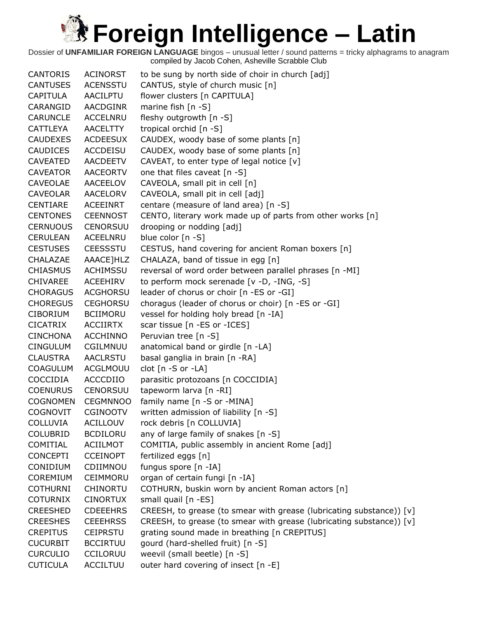| <b>CANTORIS</b> | <b>ACINORST</b> | to be sung by north side of choir in church [adj]                    |
|-----------------|-----------------|----------------------------------------------------------------------|
| <b>CANTUSES</b> | <b>ACENSSTU</b> | CANTUS, style of church music [n]                                    |
| <b>CAPITULA</b> | AACILPTU        | flower clusters [n CAPITULA]                                         |
| CARANGID        | <b>AACDGINR</b> | marine fish $[n -S]$                                                 |
| <b>CARUNCLE</b> | <b>ACCELNRU</b> | fleshy outgrowth [n -S]                                              |
| CATTLEYA        | <b>AACELTTY</b> | tropical orchid [n -S]                                               |
| <b>CAUDEXES</b> | <b>ACDEESUX</b> | CAUDEX, woody base of some plants [n]                                |
| <b>CAUDICES</b> | ACCDEISU        | CAUDEX, woody base of some plants [n]                                |
| <b>CAVEATED</b> | <b>AACDEETV</b> | CAVEAT, to enter type of legal notice [v]                            |
| <b>CAVEATOR</b> | <b>AACEORTV</b> | one that files caveat [n -S]                                         |
| <b>CAVEOLAE</b> | AACEELOV        | CAVEOLA, small pit in cell [n]                                       |
| <b>CAVEOLAR</b> | AACELORV        | CAVEOLA, small pit in cell [adj]                                     |
| CENTIARE        | <b>ACEEINRT</b> | centare (measure of land area) [n -S]                                |
| <b>CENTONES</b> | <b>CEENNOST</b> | CENTO, literary work made up of parts from other works [n]           |
| <b>CERNUOUS</b> | <b>CENORSUU</b> | drooping or nodding [adj]                                            |
| <b>CERULEAN</b> | ACEELNRU        | blue color $[n - S]$                                                 |
| <b>CESTUSES</b> | <b>CEESSSTU</b> | CESTUS, hand covering for ancient Roman boxers [n]                   |
| CHALAZAE        | AAACE]HLZ       | CHALAZA, band of tissue in egg [n]                                   |
| <b>CHIASMUS</b> | <b>ACHIMSSU</b> | reversal of word order between parallel phrases [n -MI]              |
| <b>CHIVAREE</b> | ACEEHIRV        | to perform mock serenade [v -D, -ING, -S]                            |
| <b>CHORAGUS</b> | <b>ACGHORSU</b> | leader of chorus or choir [n -ES or -GI]                             |
| <b>CHOREGUS</b> | <b>CEGHORSU</b> | choragus (leader of chorus or choir) [n -ES or -GI]                  |
| <b>CIBORIUM</b> | <b>BCIIMORU</b> | vessel for holding holy bread [n -IA]                                |
| <b>CICATRIX</b> | <b>ACCIIRTX</b> | scar tissue [n -ES or -ICES]                                         |
| <b>CINCHONA</b> | <b>ACCHINNO</b> | Peruvian tree [n -S]                                                 |
| <b>CINGULUM</b> | CGILMNUU        | anatomical band or girdle [n -LA]                                    |
| <b>CLAUSTRA</b> | <b>AACLRSTU</b> | basal ganglia in brain [n -RA]                                       |
| <b>COAGULUM</b> | ACGLMOUU        | clot $[n - S$ or $-LA]$                                              |
| COCCIDIA        | ACCCDIIO        | parasitic protozoans [n COCCIDIA]                                    |
| <b>COENURUS</b> | <b>CENORSUU</b> | tapeworm larva [n -RI]                                               |
| <b>COGNOMEN</b> | <b>CEGMNNOO</b> | family name [n -S or -MINA]                                          |
| <b>COGNOVIT</b> | <b>CGINOOTV</b> | written admission of liability [n -S]                                |
| COLLUVIA        | <b>ACILLOUV</b> | rock debris [n COLLUVIA]                                             |
| <b>COLUBRID</b> | <b>BCDILORU</b> | any of large family of snakes [n -S]                                 |
| COMITIAL        | ACIILMOT        | COMITIA, public assembly in ancient Rome [adj]                       |
|                 |                 |                                                                      |
| <b>CONCEPTI</b> | <b>CCEINOPT</b> | fertilized eggs [n]                                                  |
| CONIDIUM        | CDIIMNOU        | fungus spore [n -IA]                                                 |
| COREMIUM        | CEIMMORU        | organ of certain fungi [n -IA]                                       |
| <b>COTHURNI</b> | CHINORTU        | COTHURN, buskin worn by ancient Roman actors [n]                     |
| <b>COTURNIX</b> | <b>CINORTUX</b> | small quail [n -ES]                                                  |
| <b>CREESHED</b> | <b>CDEEEHRS</b> | CREESH, to grease (to smear with grease (lubricating substance)) [v] |
| <b>CREESHES</b> | <b>CEEEHRSS</b> | CREESH, to grease (to smear with grease (lubricating substance)) [v] |
| <b>CREPITUS</b> | <b>CEIPRSTU</b> | grating sound made in breathing [n CREPITUS]                         |
| <b>CUCURBIT</b> | <b>BCCIRTUU</b> | gourd (hard-shelled fruit) [n -S]                                    |
| <b>CURCULIO</b> | <b>CCILORUU</b> | weevil (small beetle) [n -S]                                         |
| <b>CUTICULA</b> | <b>ACCILTUU</b> | outer hard covering of insect [n -E]                                 |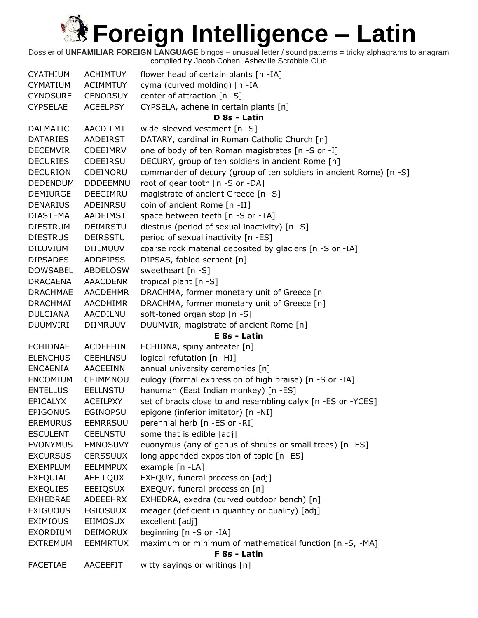| <b>CYATHIUM</b> | <b>ACHIMTUY</b> | flower head of certain plants [n -IA]                              |
|-----------------|-----------------|--------------------------------------------------------------------|
| <b>CYMATIUM</b> | <b>ACIMMTUY</b> | cyma (curved molding) [n -IA]                                      |
| <b>CYNOSURE</b> | <b>CENORSUY</b> | center of attraction [n -S]                                        |
| <b>CYPSELAE</b> | <b>ACEELPSY</b> | CYPSELA, achene in certain plants [n]                              |
|                 |                 | D 8s - Latin                                                       |
| <b>DALMATIC</b> | AACDILMT        | wide-sleeved vestment [n -S]                                       |
| <b>DATARIES</b> | AADEIRST        | DATARY, cardinal in Roman Catholic Church [n]                      |
| <b>DECEMVIR</b> | <b>CDEEIMRV</b> | one of body of ten Roman magistrates [n -S or -I]                  |
| <b>DECURIES</b> | <b>CDEEIRSU</b> | DECURY, group of ten soldiers in ancient Rome [n]                  |
| <b>DECURION</b> | CDEINORU        | commander of decury (group of ten soldiers in ancient Rome) [n -S] |
| <b>DEDENDUM</b> | <b>DDDEEMNU</b> | root of gear tooth [n -S or -DA]                                   |
| <b>DEMIURGE</b> | DEEGIMRU        | magistrate of ancient Greece [n -S]                                |
| <b>DENARIUS</b> | ADEINRSU        | coin of ancient Rome [n -II]                                       |
| <b>DIASTEMA</b> | AADEIMST        | space between teeth [n -S or -TA]                                  |
| <b>DIESTRUM</b> | <b>DEIMRSTU</b> | diestrus (period of sexual inactivity) [n -S]                      |
| <b>DIESTRUS</b> | <b>DEIRSSTU</b> | period of sexual inactivity [n -ES]                                |
| DILUVIUM        | <b>DIILMUUV</b> | coarse rock material deposited by glaciers [n -S or -IA]           |
| <b>DIPSADES</b> | <b>ADDEIPSS</b> | DIPSAS, fabled serpent [n]                                         |
| <b>DOWSABEL</b> | <b>ABDELOSW</b> | sweetheart [n -S]                                                  |
| <b>DRACAENA</b> | <b>AAACDENR</b> | tropical plant [n -S]                                              |
| <b>DRACHMAE</b> | <b>AACDEHMR</b> | DRACHMA, former monetary unit of Greece [n                         |
| <b>DRACHMAI</b> | <b>AACDHIMR</b> | DRACHMA, former monetary unit of Greece [n]                        |
| <b>DULCIANA</b> | AACDILNU        | soft-toned organ stop [n -S]                                       |
| <b>DUUMVIRI</b> | DIIMRUUV        | DUUMVIR, magistrate of ancient Rome [n]                            |
|                 |                 | E 8s - Latin                                                       |
| <b>ECHIDNAE</b> | <b>ACDEEHIN</b> | ECHIDNA, spiny anteater [n]                                        |
| <b>ELENCHUS</b> | <b>CEEHLNSU</b> | logical refutation [n -HI]                                         |
| <b>ENCAENIA</b> | <b>AACEEINN</b> | annual university ceremonies [n]                                   |
| <b>ENCOMIUM</b> | CEIMMNOU        | eulogy (formal expression of high praise) [n -S or -IA]            |
| <b>ENTELLUS</b> | <b>EELLNSTU</b> | hanuman (East Indian monkey) [n -ES]                               |
| <b>EPICALYX</b> | <b>ACEILPXY</b> | set of bracts close to and resembling calyx [n -ES or -YCES]       |
| <b>EPIGONUS</b> | <b>EGINOPSU</b> | epigone (inferior imitator) [n -NI]                                |
| <b>EREMURUS</b> | <b>EEMRRSUU</b> | perennial herb [n -ES or -RI]                                      |
| <b>ESCULENT</b> | <b>CEELNSTU</b> | some that is edible [adj]                                          |
| <b>EVONYMUS</b> | <b>EMNOSUVY</b> | euonymus (any of genus of shrubs or small trees) [n -ES]           |
| <b>EXCURSUS</b> | <b>CERSSUUX</b> | long appended exposition of topic [n -ES]                          |
| <b>EXEMPLUM</b> | <b>EELMMPUX</b> | example [n -LA]                                                    |
| EXEQUIAL        | AEEILQUX        | EXEQUY, funeral procession [adj]                                   |
| <b>EXEQUIES</b> | <b>EEEIQSUX</b> | EXEQUY, funeral procession [n]                                     |
| <b>EXHEDRAE</b> | ADEEEHRX        | EXHEDRA, exedra (curved outdoor bench) [n]                         |
| <b>EXIGUOUS</b> | <b>EGIOSUUX</b> | meager (deficient in quantity or quality) [adj]                    |
| <b>EXIMIOUS</b> | <b>EIIMOSUX</b> | excellent [adj]                                                    |
| EXORDIUM        | <b>DEIMORUX</b> | beginning [n -S or -IA]                                            |
| <b>EXTREMUM</b> | <b>EEMMRTUX</b> | maximum or minimum of mathematical function [n -S, -MA]            |
|                 |                 | F 8s - Latin                                                       |
| <b>FACETIAE</b> | <b>AACEEFIT</b> | witty sayings or writings [n]                                      |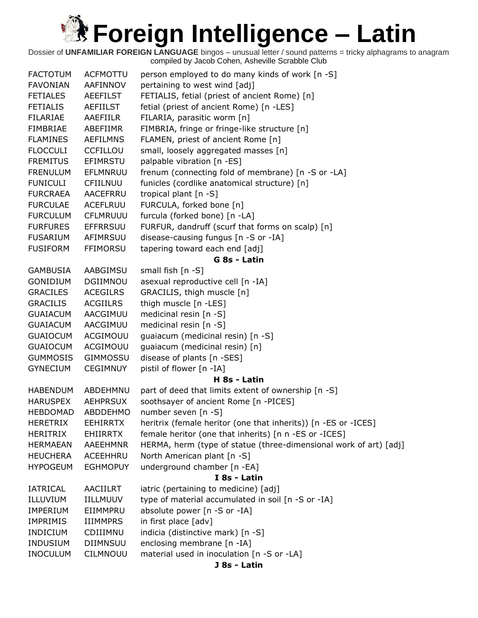| <b>FACTOTUM</b> | <b>ACFMOTTU</b> | person employed to do many kinds of work [n -S]                   |
|-----------------|-----------------|-------------------------------------------------------------------|
| <b>FAVONIAN</b> | AAFINNOV        | pertaining to west wind [adj]                                     |
| <b>FETIALES</b> | <b>AEEFILST</b> | FETIALIS, fetial (priest of ancient Rome) [n]                     |
| <b>FETIALIS</b> | AEFIILST        | fetial (priest of ancient Rome) [n -LES]                          |
| FILARIAE        | AAEFIILR        | FILARIA, parasitic worm [n]                                       |
| FIMBRIAE        | ABEFIIMR        | FIMBRIA, fringe or fringe-like structure [n]                      |
| <b>FLAMINES</b> | <b>AEFILMNS</b> | FLAMEN, priest of ancient Rome [n]                                |
| <b>FLOCCULI</b> | <b>CCFILLOU</b> | small, loosely aggregated masses [n]                              |
| <b>FREMITUS</b> | EFIMRSTU        | palpable vibration [n -ES]                                        |
| <b>FRENULUM</b> | EFLMNRUU        | frenum (connecting fold of membrane) [n -S or -LA]                |
| <b>FUNICULI</b> | CFIILNUU        | funicles (cordlike anatomical structure) [n]                      |
| <b>FURCRAEA</b> | AACEFRRU        | tropical plant [n -S]                                             |
| <b>FURCULAE</b> | ACEFLRUU        | FURCULA, forked bone [n]                                          |
| <b>FURCULUM</b> | <b>CFLMRUUU</b> | furcula (forked bone) [n -LA]                                     |
| <b>FURFURES</b> | <b>EFFRRSUU</b> | FURFUR, dandruff (scurf that forms on scalp) [n]                  |
| <b>FUSARIUM</b> | AFIMRSUU        | disease-causing fungus [n -S or -IA]                              |
| <b>FUSIFORM</b> | <b>FFIMORSU</b> | tapering toward each end [adj]                                    |
|                 |                 | G 8s - Latin                                                      |
| GAMBUSIA        | AABGIMSU        | small fish [n -S]                                                 |
| GONIDIUM        | DGIIMNOU        | asexual reproductive cell [n -IA]                                 |
| <b>GRACILES</b> | <b>ACEGILRS</b> | GRACILIS, thigh muscle [n]                                        |
| <b>GRACILIS</b> | <b>ACGIILRS</b> | thigh muscle [n -LES]                                             |
| <b>GUAIACUM</b> | AACGIMUU        | medicinal resin [n -S]                                            |
| <b>GUAIACUM</b> | AACGIMUU        | medicinal resin [n -S]                                            |
| <b>GUAIOCUM</b> | ACGIMOUU        | guaiacum (medicinal resin) [n -S]                                 |
| <b>GUAIOCUM</b> | ACGIMOUU        | guaiacum (medicinal resin) [n]                                    |
| <b>GUMMOSIS</b> | <b>GIMMOSSU</b> | disease of plants [n -SES]                                        |
| <b>GYNECIUM</b> | <b>CEGIMNUY</b> | pistil of flower [n -IA]                                          |
|                 |                 | H 8s - Latin                                                      |
| <b>HABENDUM</b> | ABDEHMNU        | part of deed that limits extent of ownership [n -S]               |
| <b>HARUSPEX</b> | <b>AEHPRSUX</b> | soothsayer of ancient Rome [n -PICES]                             |
| <b>HEBDOMAD</b> | <b>ABDDEHMO</b> | number seven [n -S]                                               |
| <b>HERETRIX</b> | <b>EEHIRRTX</b> | heritrix (female heritor (one that inherits)) [n -ES or -ICES]    |
| <b>HERITRIX</b> | <b>EHIIRRTX</b> | female heritor (one that inherits) [n n -ES or -ICES]             |
| HERMAEAN        | AAEEHMNR        | HERMA, herm (type of statue (three-dimensional work of art) [adj] |
| <b>HEUCHERA</b> | ACEEHHRU        | North American plant [n -S]                                       |
| <b>HYPOGEUM</b> | <b>EGHMOPUY</b> | underground chamber [n -EA]                                       |
|                 |                 | I 8s - Latin                                                      |
| IATRICAL        | AACIILRT        | iatric (pertaining to medicine) [adj]                             |
| ILLUVIUM        | IILLMUUV        | type of material accumulated in soil [n -S or -IA]                |
| <b>IMPERIUM</b> | EIIMMPRU        | absolute power [n -S or -IA]                                      |
| <b>IMPRIMIS</b> | <b>IIIMMPRS</b> | in first place [adv]                                              |
| INDICIUM        | CDIIIMNU        | indicia (distinctive mark) [n -S]                                 |
| <b>INDUSIUM</b> | DIIMNSUU        | enclosing membrane [n -IA]                                        |
| <b>INOCULUM</b> | CILMNOUU        | material used in inoculation [n -S or -LA]                        |
|                 |                 | J 8s - Latin                                                      |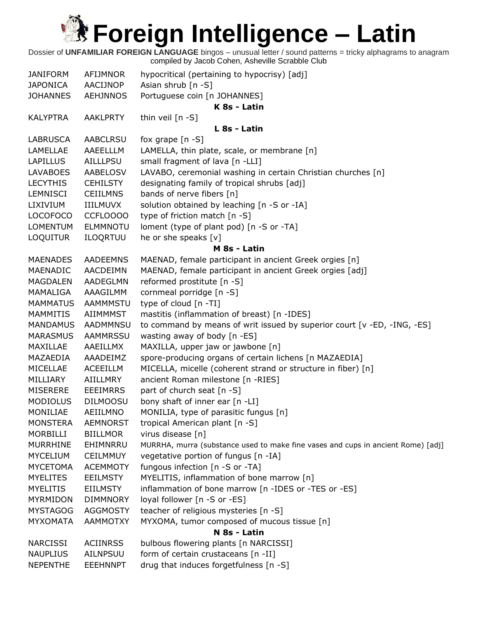| <b>JANIFORM</b> | AFIJMNOR        | hypocritical (pertaining to hypocrisy) [adj]                                     |
|-----------------|-----------------|----------------------------------------------------------------------------------|
| <b>JAPONICA</b> | AACIJNOP        | Asian shrub [n -S]                                                               |
| <b>JOHANNES</b> | <b>AEHJNNOS</b> | Portuguese coin [n JOHANNES]                                                     |
|                 |                 | K 8s - Latin                                                                     |
| <b>KALYPTRA</b> | <b>AAKLPRTY</b> | thin veil $[n - S]$                                                              |
|                 |                 | L 8s - Latin                                                                     |
| <b>LABRUSCA</b> | <b>AABCLRSU</b> | fox grape $[n -S]$                                                               |
| LAMELLAE        | AAEELLLM        | LAMELLA, thin plate, scale, or membrane [n]                                      |
| <b>LAPILLUS</b> | <b>AILLLPSU</b> | small fragment of lava [n -LLI]                                                  |
| <b>LAVABOES</b> | AABELOSV        | LAVABO, ceremonial washing in certain Christian churches [n]                     |
| <b>LECYTHIS</b> | <b>CEHILSTY</b> | designating family of tropical shrubs [adj]                                      |
| <b>LEMNISCI</b> | <b>CEIILMNS</b> | bands of nerve fibers [n]                                                        |
| LIXIVIUM        | <b>IIILMUVX</b> | solution obtained by leaching [n -S or -IA]                                      |
| <b>LOCOFOCO</b> | CCFLOOOO        | type of friction match [n -S]                                                    |
| <b>LOMENTUM</b> | <b>ELMMNOTU</b> | loment (type of plant pod) [n -S or -TA]                                         |
| <b>LOQUITUR</b> | ILOQRTUU        | he or she speaks [v]                                                             |
|                 |                 | M 8s - Latin                                                                     |
| <b>MAENADES</b> | <b>AADEEMNS</b> | MAENAD, female participant in ancient Greek orgies [n]                           |
| MAENADIC        | AACDEIMN        | MAENAD, female participant in ancient Greek orgies [adj]                         |
| <b>MAGDALEN</b> | <b>AADEGLMN</b> | reformed prostitute [n -S]                                                       |
| MAMALIGA        | AAAGILMM        | cornmeal porridge [n -S]                                                         |
| <b>MAMMATUS</b> | <b>AAMMMSTU</b> | type of cloud [n -TI]                                                            |
| <b>MAMMITIS</b> | AIIMMMST        | mastitis (inflammation of breast) [n -IDES]                                      |
| <b>MANDAMUS</b> | AADMMNSU        | to command by means of writ issued by superior court [v -ED, -ING, -ES]          |
| <b>MARASMUS</b> | <b>AAMMRSSU</b> | wasting away of body [n -ES]                                                     |
| MAXILLAE        | AAEILLMX        | MAXILLA, upper jaw or jawbone [n]                                                |
| MAZAEDIA        | AAADEIMZ        | spore-producing organs of certain lichens [n MAZAEDIA]                           |
| MICELLAE        | <b>ACEEILLM</b> | MICELLA, micelle (coherent strand or structure in fiber) [n]                     |
| MILLIARY        | <b>AIILLMRY</b> | ancient Roman milestone [n -RIES]                                                |
| <b>MISERERE</b> | <b>EEEIMRRS</b> | part of church seat [n -S]                                                       |
| <b>MODIOLUS</b> | <b>DILMOOSU</b> | bony shaft of inner ear [n -LI]                                                  |
| MONILIAE        | AEIILMNO        | MONILIA, type of parasitic fungus [n]                                            |
| <b>MONSTERA</b> | <b>AEMNORST</b> | tropical American plant [n -S]                                                   |
| <b>MORBILLI</b> | <b>BIILLMOR</b> | virus disease [n]                                                                |
| <b>MURRHINE</b> | EHIMNRRU        | MURRHA, murra (substance used to make fine vases and cups in ancient Rome) [adj] |
| <b>MYCELIUM</b> | <b>CEILMMUY</b> | vegetative portion of fungus [n -IA]                                             |
| <b>MYCETOMA</b> | <b>ACEMMOTY</b> | fungous infection [n -S or -TA]                                                  |
| <b>MYELITES</b> | <b>EEILMSTY</b> | MYELITIS, inflammation of bone marrow [n]                                        |
| <b>MYELITIS</b> | <b>EIILMSTY</b> | inflammation of bone marrow [n -IDES or -TES or -ES]                             |
| <b>MYRMIDON</b> | <b>DIMMNORY</b> | loyal follower [n -S or -ES]                                                     |
| <b>MYSTAGOG</b> | <b>AGGMOSTY</b> | teacher of religious mysteries [n -S]                                            |
| <b>MYXOMATA</b> | <b>AAMMOTXY</b> | MYXOMA, tumor composed of mucous tissue [n]                                      |
|                 |                 | N 8s - Latin                                                                     |
| <b>NARCISSI</b> | <b>ACIINRSS</b> | bulbous flowering plants [n NARCISSI]                                            |
| <b>NAUPLIUS</b> | AILNPSUU        | form of certain crustaceans [n -II]                                              |
| <b>NEPENTHE</b> | <b>EEEHNNPT</b> | drug that induces forgetfulness [n -S]                                           |
|                 |                 |                                                                                  |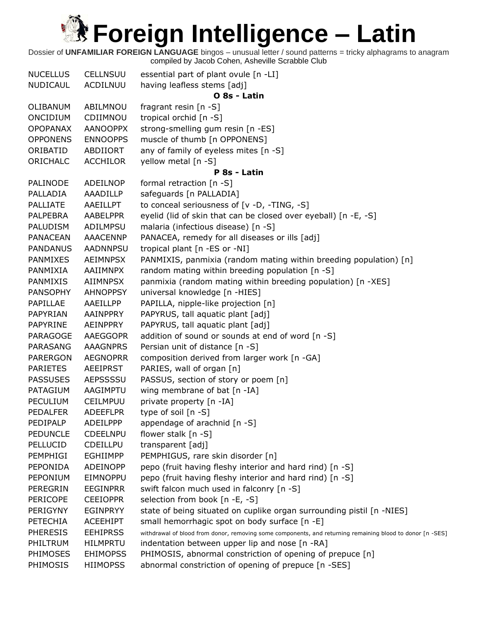| <b>NUCELLUS</b> | <b>CELLNSUU</b> | essential part of plant ovule [n -LI]                                                                     |
|-----------------|-----------------|-----------------------------------------------------------------------------------------------------------|
| NUDICAUL        | ACDILNUU        | having leafless stems [adj]                                                                               |
|                 |                 | O 8s - Latin                                                                                              |
| OLIBANUM        | ABILMNOU        | fragrant resin $[n -S]$                                                                                   |
| ONCIDIUM        | CDIIMNOU        | tropical orchid [n -S]                                                                                    |
| <b>OPOPANAX</b> | <b>AANOOPPX</b> | strong-smelling gum resin [n -ES]                                                                         |
| <b>OPPONENS</b> | <b>ENNOOPPS</b> | muscle of thumb [n OPPONENS]                                                                              |
| ORIBATID        | ABDIIORT        | any of family of eyeless mites [n -S]                                                                     |
| ORICHALC        | <b>ACCHILOR</b> | yellow metal [n -S]                                                                                       |
|                 |                 | P 8s - Latin                                                                                              |
| PALINODE        | ADEILNOP        | formal retraction [n -S]                                                                                  |
| PALLADIA        | AAADILLP        | safeguards [n PALLADIA]                                                                                   |
| <b>PALLIATE</b> | AAEILLPT        | to conceal seriousness of [v -D, -TING, -S]                                                               |
| <b>PALPEBRA</b> | <b>AABELPPR</b> | eyelid (lid of skin that can be closed over eyeball) [n -E, -S]                                           |
| <b>PALUDISM</b> | ADILMPSU        | malaria (infectious disease) [n -S]                                                                       |
| <b>PANACEAN</b> | <b>AAACENNP</b> | PANACEA, remedy for all diseases or ills [adj]                                                            |
| <b>PANDANUS</b> | <b>AADNNPSU</b> | tropical plant [n -ES or -NI]                                                                             |
| <b>PANMIXES</b> | <b>AEIMNPSX</b> | PANMIXIS, panmixia (random mating within breeding population) [n]                                         |
| PANMIXIA        | AAIIMNPX        | random mating within breeding population [n -S]                                                           |
| PANMIXIS        | AIIMNPSX        | panmixia (random mating within breeding population) [n -XES]                                              |
| <b>PANSOPHY</b> | <b>AHNOPPSY</b> | universal knowledge [n -HIES]                                                                             |
| PAPILLAE        | AAEILLPP        | PAPILLA, nipple-like projection [n]                                                                       |
| PAPYRIAN        | AAINPPRY        | PAPYRUS, tall aquatic plant [adj]                                                                         |
| PAPYRINE        | AEINPPRY        | PAPYRUS, tall aquatic plant [adj]                                                                         |
| PARAGOGE        | <b>AAEGGOPR</b> | addition of sound or sounds at end of word [n -S]                                                         |
| PARASANG        | <b>AAAGNPRS</b> | Persian unit of distance [n -S]                                                                           |
| <b>PARERGON</b> | <b>AEGNOPRR</b> | composition derived from larger work [n -GA]                                                              |
| <b>PARIETES</b> | <b>AEEIPRST</b> | PARIES, wall of organ [n]                                                                                 |
| <b>PASSUSES</b> | <b>AEPSSSSU</b> | PASSUS, section of story or poem [n]                                                                      |
| PATAGIUM        | AAGIMPTU        | wing membrane of bat [n -IA]                                                                              |
| <b>PECULIUM</b> | CEILMPUU        | private property [n -IA]                                                                                  |
| <b>PEDALFER</b> | <b>ADEEFLPR</b> | type of soil $[n - S]$                                                                                    |
| PEDIPALP        | ADEILPPP        | appendage of arachnid [n -S]                                                                              |
| <b>PEDUNCLE</b> | <b>CDEELNPU</b> | flower stalk [n -S]                                                                                       |
| PELLUCID        | <b>CDEILLPU</b> | transparent [adj]                                                                                         |
| PEMPHIGI        | <b>EGHIIMPP</b> | PEMPHIGUS, rare skin disorder [n]                                                                         |
| PEPONIDA        | <b>ADEINOPP</b> | pepo (fruit having fleshy interior and hard rind) [n -S]                                                  |
| PEPONIUM        | EIMNOPPU        | pepo (fruit having fleshy interior and hard rind) [n -S]                                                  |
| <b>PEREGRIN</b> | <b>EEGINPRR</b> | swift falcon much used in falconry [n -S]                                                                 |
| <b>PERICOPE</b> | <b>CEEIOPPR</b> | selection from book [n -E, -S]                                                                            |
| PERIGYNY        | <b>EGINPRYY</b> | state of being situated on cuplike organ surrounding pistil [n -NIES]                                     |
| <b>PETECHIA</b> | <b>ACEEHIPT</b> | small hemorrhagic spot on body surface [n -E]                                                             |
| <b>PHERESIS</b> | <b>EEHIPRSS</b> | withdrawal of blood from donor, removing some components, and returning remaining blood to donor [n -SES] |
| PHILTRUM        | <b>HILMPRTU</b> | indentation between upper lip and nose [n -RA]                                                            |
| PHIMOSES        | <b>EHIMOPSS</b> | PHIMOSIS, abnormal constriction of opening of prepuce [n]                                                 |
| PHIMOSIS        | <b>HIIMOPSS</b> | abnormal constriction of opening of prepuce [n -SES]                                                      |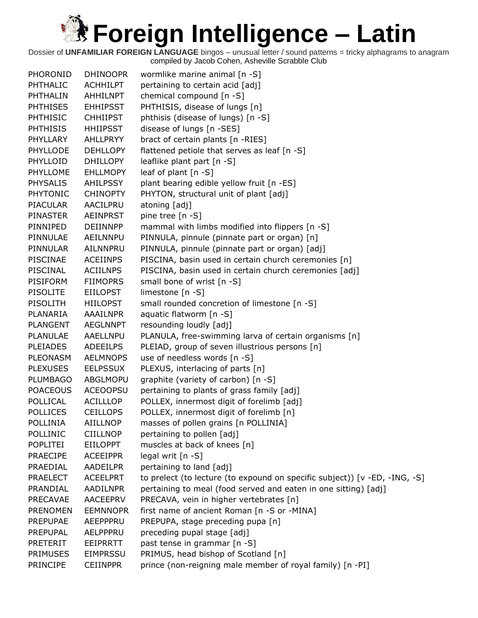| PHORONID        | <b>DHINOOPR</b> | wormlike marine animal [n -S]                                              |
|-----------------|-----------------|----------------------------------------------------------------------------|
| PHTHALIC        | <b>ACHHILPT</b> | pertaining to certain acid [adj]                                           |
| PHTHALIN        | AHHILNPT        | chemical compound [n -S]                                                   |
| <b>PHTHISES</b> | <b>EHHIPSST</b> | PHTHISIS, disease of lungs [n]                                             |
| <b>PHTHISIC</b> | <b>CHHIIPST</b> | phthisis (disease of lungs) [n -S]                                         |
| <b>PHTHISIS</b> | <b>HHIIPSST</b> | disease of lungs [n -SES]                                                  |
| PHYLLARY        | AHLLPRYY        | bract of certain plants [n -RIES]                                          |
| PHYLLODE        | <b>DEHLLOPY</b> | flattened petiole that serves as leaf [n -S]                               |
| PHYLLOID        | <b>DHILLOPY</b> | leaflike plant part [n -S]                                                 |
| PHYLLOME        | <b>EHLLMOPY</b> | leaf of plant $[n -S]$                                                     |
| <b>PHYSALIS</b> | <b>AHILPSSY</b> | plant bearing edible yellow fruit [n -ES]                                  |
| <b>PHYTONIC</b> | <b>CHINOPTY</b> | PHYTON, structural unit of plant [adj]                                     |
| <b>PIACULAR</b> | AACILPRU        | atoning [adj]                                                              |
| <b>PINASTER</b> | <b>AEINPRST</b> | pine tree [n -S]                                                           |
| PINNIPED        | <b>DEIINNPP</b> | mammal with limbs modified into flippers [n -S]                            |
| PINNULAE        | AEILNNPU        | PINNULA, pinnule (pinnate part or organ) [n]                               |
| <b>PINNULAR</b> | AILNNPRU        | PINNULA, pinnule (pinnate part or organ) [adj]                             |
| PISCINAE        | <b>ACEIINPS</b> | PISCINA, basin used in certain church ceremonies [n]                       |
| PISCINAL        | <b>ACIILNPS</b> | PISCINA, basin used in certain church ceremonies [adj]                     |
| <b>PISIFORM</b> | <b>FIIMOPRS</b> | small bone of wrist [n -S]                                                 |
| <b>PISOLITE</b> | <b>EIILOPST</b> | limestone [n -S]                                                           |
| PISOLITH        | <b>HIILOPST</b> | small rounded concretion of limestone [n -S]                               |
| PLANARIA        | <b>AAAILNPR</b> | aquatic flatworm [n -S]                                                    |
| <b>PLANGENT</b> | <b>AEGLNNPT</b> | resounding loudly [adj]                                                    |
| <b>PLANULAE</b> | AAELLNPU        | PLANULA, free-swimming larva of certain organisms [n]                      |
| <b>PLEIADES</b> | <b>ADEEILPS</b> | PLEIAD, group of seven illustrious persons [n]                             |
| PLEONASM        | <b>AELMNOPS</b> | use of needless words [n -S]                                               |
| <b>PLEXUSES</b> | <b>EELPSSUX</b> | PLEXUS, interlacing of parts [n]                                           |
| <b>PLUMBAGO</b> | ABGLMOPU        | graphite (variety of carbon) [n -S]                                        |
| <b>POACEOUS</b> | <b>ACEOOPSU</b> | pertaining to plants of grass family [adj]                                 |
| POLLICAL        | <b>ACILLLOP</b> | POLLEX, innermost digit of forelimb [adj]                                  |
| <b>POLLICES</b> | <b>CEILLOPS</b> | POLLEX, innermost digit of forelimb [n]                                    |
| <b>POLLINIA</b> | <b>AIILLNOP</b> | masses of pollen grains [n POLLINIA]                                       |
| POLLINIC        | <b>CIILLNOP</b> | pertaining to pollen [adj]                                                 |
| POPLITEI        | EIILOPPT        | muscles at back of knees [n]                                               |
| <b>PRAECIPE</b> | <b>ACEEIPPR</b> | legal writ [n -S]                                                          |
| PRAEDIAL        | AADEILPR        | pertaining to land [adj]                                                   |
| <b>PRAELECT</b> | <b>ACEELPRT</b> | to prelect (to lecture (to expound on specific subject)) [v -ED, -ING, -S] |
| PRANDIAL        | AADILNPR        | pertaining to meal (food served and eaten in one sitting) [adj]            |
| <b>PRECAVAE</b> | AACEEPRV        | PRECAVA, vein in higher vertebrates [n]                                    |
| <b>PRENOMEN</b> | <b>EEMNNOPR</b> | first name of ancient Roman [n -S or -MINA]                                |
| <b>PREPUPAE</b> | AEEPPPRU        | PREPUPA, stage preceding pupa [n]                                          |
| <b>PREPUPAL</b> | AELPPPRU        | preceding pupal stage [adj]                                                |
| PRETERIT        | EEIPRRTT        | past tense in grammar [n -S]                                               |
| <b>PRIMUSES</b> | <b>EIMPRSSU</b> | PRIMUS, head bishop of Scotland [n]                                        |
| PRINCIPE        | <b>CEIINPPR</b> | prince (non-reigning male member of royal family) [n -PI]                  |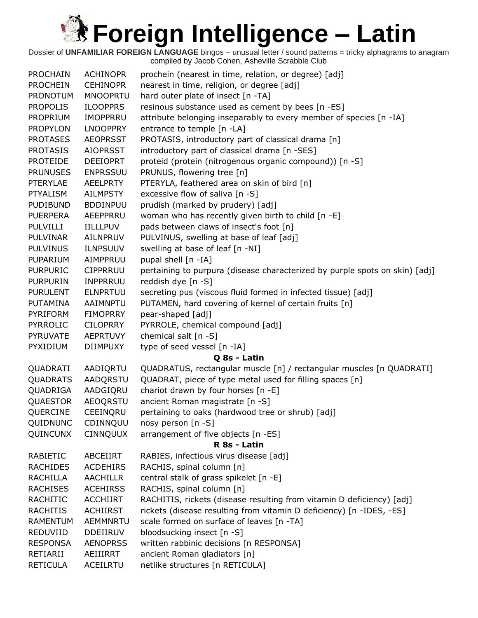| <b>PROCHAIN</b> | <b>ACHINOPR</b> | prochein (nearest in time, relation, or degree) [adj]                       |
|-----------------|-----------------|-----------------------------------------------------------------------------|
| <b>PROCHEIN</b> | <b>CEHINOPR</b> | nearest in time, religion, or degree [adj]                                  |
| <b>PRONOTUM</b> | <b>MNOOPRTU</b> | hard outer plate of insect [n -TA]                                          |
| <b>PROPOLIS</b> | <b>ILOOPPRS</b> | resinous substance used as cement by bees [n -ES]                           |
| PROPRIUM        | <b>IMOPPRRU</b> | attribute belonging inseparably to every member of species [n -IA]          |
| <b>PROPYLON</b> | <b>LNOOPPRY</b> | entrance to temple [n -LA]                                                  |
| <b>PROTASES</b> | <b>AEOPRSST</b> | PROTASIS, introductory part of classical drama [n]                          |
| <b>PROTASIS</b> | <b>AIOPRSST</b> | introductory part of classical drama [n -SES]                               |
| <b>PROTEIDE</b> | <b>DEEIOPRT</b> | proteid (protein (nitrogenous organic compound)) [n -S]                     |
| <b>PRUNUSES</b> | <b>ENPRSSUU</b> | PRUNUS, flowering tree [n]                                                  |
| <b>PTERYLAE</b> | <b>AEELPRTY</b> | PTERYLA, feathered area on skin of bird [n]                                 |
| <b>PTYALISM</b> | <b>AILMPSTY</b> | excessive flow of saliva [n -S]                                             |
| <b>PUDIBUND</b> | <b>BDDINPUU</b> | prudish (marked by prudery) [adj]                                           |
| <b>PUERPERA</b> | AEEPPRRU        | woman who has recently given birth to child [n -E]                          |
| <b>PULVILLI</b> | <b>IILLLPUV</b> | pads between claws of insect's foot [n]                                     |
| <b>PULVINAR</b> | AILNPRUV        | PULVINUS, swelling at base of leaf [adj]                                    |
| <b>PULVINUS</b> | <b>ILNPSUUV</b> | swelling at base of leaf [n -NI]                                            |
| PUPARIUM        | AIMPPRUU        | pupal shell [n -IA]                                                         |
| <b>PURPURIC</b> | <b>CIPPRRUU</b> | pertaining to purpura (disease characterized by purple spots on skin) [adj] |
| <b>PURPURIN</b> | <b>INPPRRUU</b> | reddish dye [n -S]                                                          |
| <b>PURULENT</b> | <b>ELNPRTUU</b> | secreting pus (viscous fluid formed in infected tissue) [adj]               |
| PUTAMINA        | AAIMNPTU        | PUTAMEN, hard covering of kernel of certain fruits [n]                      |
| PYRIFORM        | <b>FIMOPRRY</b> | pear-shaped [adj]                                                           |
| <b>PYRROLIC</b> | <b>CILOPRRY</b> | PYRROLE, chemical compound [adj]                                            |
| PYRUVATE        | <b>AEPRTUVY</b> | chemical salt [n -S]                                                        |
| PYXIDIUM        | <b>DIIMPUXY</b> | type of seed vessel [n -IA]                                                 |
|                 |                 | Q 8s - Latin                                                                |
| QUADRATI        | AADIQRTU        | QUADRATUS, rectangular muscle [n] / rectangular muscles [n QUADRATI]        |
| <b>QUADRATS</b> | AADQRSTU        | QUADRAT, piece of type metal used for filling spaces [n]                    |
| QUADRIGA        | AADGIQRU        | chariot drawn by four horses [n -E]                                         |
| <b>QUAESTOR</b> | <b>AEOQRSTU</b> | ancient Roman magistrate [n -S]                                             |
| QUERCINE        | CEEINQRU        | pertaining to oaks (hardwood tree or shrub) [adj]                           |
| QUIDNUNC        | CDINNQUU        | nosy person [n -S]                                                          |
| QUINCUNX        | <b>CINNQUUX</b> | arrangement of five objects [n -ES]                                         |
|                 |                 | R 8s - Latin                                                                |
| RABIETIC        | ABCEIIRT        | RABIES, infectious virus disease [adj]                                      |
| <b>RACHIDES</b> | <b>ACDEHIRS</b> | RACHIS, spinal column [n]                                                   |
| <b>RACHILLA</b> | <b>AACHILLR</b> | central stalk of grass spikelet [n -E]                                      |
| <b>RACHISES</b> | <b>ACEHIRSS</b> | RACHIS, spinal column [n]                                                   |
| RACHITIC        | <b>ACCHIIRT</b> | RACHITIS, rickets (disease resulting from vitamin D deficiency) [adj]       |
| <b>RACHITIS</b> | <b>ACHIIRST</b> | rickets (disease resulting from vitamin D deficiency) [n -IDES, -ES]        |
| <b>RAMENTUM</b> | <b>AEMMNRTU</b> | scale formed on surface of leaves [n -TA]                                   |
| REDUVIID        | <b>DDEIIRUV</b> | bloodsucking insect [n -S]                                                  |
| <b>RESPONSA</b> | <b>AENOPRSS</b> | written rabbinic decisions [n RESPONSA]                                     |
| RETIARII        | AEIIIRRT        | ancient Roman gladiators [n]                                                |
| <b>RETICULA</b> | ACEILRTU        | netlike structures [n RETICULA]                                             |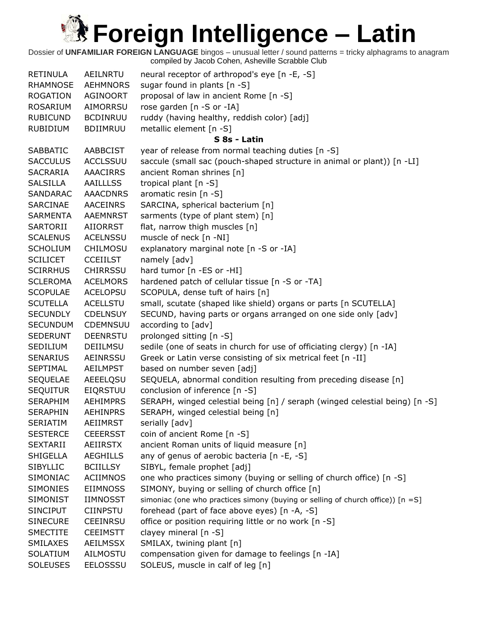| <b>RETINULA</b> | AEILNRTU        | neural receptor of arthropod's eye [n -E, -S]                                      |
|-----------------|-----------------|------------------------------------------------------------------------------------|
| <b>RHAMNOSE</b> | <b>AEHMNORS</b> | sugar found in plants [n -S]                                                       |
| <b>ROGATION</b> | AGINOORT        | proposal of law in ancient Rome [n -S]                                             |
| ROSARIUM        | AIMORRSU        | rose garden [n -S or -IA]                                                          |
| <b>RUBICUND</b> | <b>BCDINRUU</b> | ruddy (having healthy, reddish color) [adj]                                        |
| RUBIDIUM        | <b>BDIIMRUU</b> | metallic element [n -S]                                                            |
|                 |                 | S 8s - Latin                                                                       |
| <b>SABBATIC</b> | <b>AABBCIST</b> | year of release from normal teaching duties [n -S]                                 |
| <b>SACCULUS</b> | <b>ACCLSSUU</b> | saccule (small sac (pouch-shaped structure in animal or plant)) [n -LI]            |
| <b>SACRARIA</b> | <b>AAACIRRS</b> | ancient Roman shrines [n]                                                          |
| <b>SALSILLA</b> | <b>AAILLLSS</b> | tropical plant [n -S]                                                              |
| SANDARAC        | <b>AAACDNRS</b> | aromatic resin [n -S]                                                              |
| SARCINAE        | AACEINRS        | SARCINA, spherical bacterium [n]                                                   |
| <b>SARMENTA</b> | AAEMNRST        | sarments (type of plant stem) [n]                                                  |
| SARTORII        | AIIORRST        | flat, narrow thigh muscles [n]                                                     |
| <b>SCALENUS</b> | <b>ACELNSSU</b> | muscle of neck [n -NI]                                                             |
| <b>SCHOLIUM</b> | <b>CHILMOSU</b> | explanatory marginal note [n -S or -IA]                                            |
| <b>SCILICET</b> | <b>CCEIILST</b> | namely [adv]                                                                       |
| <b>SCIRRHUS</b> | <b>CHIRRSSU</b> | hard tumor [n -ES or -HI]                                                          |
| <b>SCLEROMA</b> | <b>ACELMORS</b> | hardened patch of cellular tissue [n -S or -TA]                                    |
| <b>SCOPULAE</b> | <b>ACELOPSU</b> | SCOPULA, dense tuft of hairs [n]                                                   |
| <b>SCUTELLA</b> | <b>ACELLSTU</b> | small, scutate (shaped like shield) organs or parts [n SCUTELLA]                   |
| <b>SECUNDLY</b> | <b>CDELNSUY</b> | SECUND, having parts or organs arranged on one side only [adv]                     |
| <b>SECUNDUM</b> | CDEMNSUU        | according to [adv]                                                                 |
| <b>SEDERUNT</b> | <b>DEENRSTU</b> | prolonged sitting [n -S]                                                           |
| SEDILIUM        | DEIILMSU        | sedile (one of seats in church for use of officiating clergy) [n -IA]              |
| <b>SENARIUS</b> | AEINRSSU        | Greek or Latin verse consisting of six metrical feet [n -II]                       |
| <b>SEPTIMAL</b> | <b>AEILMPST</b> | based on number seven [adj]                                                        |
| <b>SEQUELAE</b> | AEEELQSU        | SEQUELA, abnormal condition resulting from preceding disease [n]                   |
| <b>SEQUITUR</b> | <b>EIQRSTUU</b> | conclusion of inference [n -S]                                                     |
| <b>SERAPHIM</b> | <b>AEHIMPRS</b> | SERAPH, winged celestial being [n] / seraph (winged celestial being) [n -S]        |
| <b>SERAPHIN</b> | <b>AEHINPRS</b> | SERAPH, winged celestial being [n]                                                 |
| <b>SERIATIM</b> | <b>AEIIMRST</b> | serially [adv]                                                                     |
| <b>SESTERCE</b> | <b>CEEERSST</b> | coin of ancient Rome [n -S]                                                        |
| <b>SEXTARII</b> | AEIIRSTX        | ancient Roman units of liquid measure [n]                                          |
| <b>SHIGELLA</b> | <b>AEGHILLS</b> | any of genus of aerobic bacteria [n -E, -S]                                        |
| <b>SIBYLLIC</b> | <b>BCIILLSY</b> | SIBYL, female prophet [adj]                                                        |
| SIMONIAC        | <b>ACIIMNOS</b> | one who practices simony (buying or selling of church office) [n -S]               |
| <b>SIMONIES</b> | <b>EIIMNOSS</b> | SIMONY, buying or selling of church office [n]                                     |
| <b>SIMONIST</b> | <b>IIMNOSST</b> | simoniac (one who practices simony (buying or selling of church office)) $[n = S]$ |
| <b>SINCIPUT</b> | <b>CIINPSTU</b> | forehead (part of face above eyes) [n -A, -S]                                      |
| <b>SINECURE</b> | <b>CEEINRSU</b> | office or position requiring little or no work [n -S]                              |
| <b>SMECTITE</b> | <b>CEEIMSTT</b> | clayey mineral [n -S]                                                              |
| SMILAXES        | <b>AEILMSSX</b> | SMILAX, twining plant [n]                                                          |
| SOLATIUM        | AILMOSTU        | compensation given for damage to feelings [n -IA]                                  |
| <b>SOLEUSES</b> | EELOSSSU        | SOLEUS, muscle in calf of leg [n]                                                  |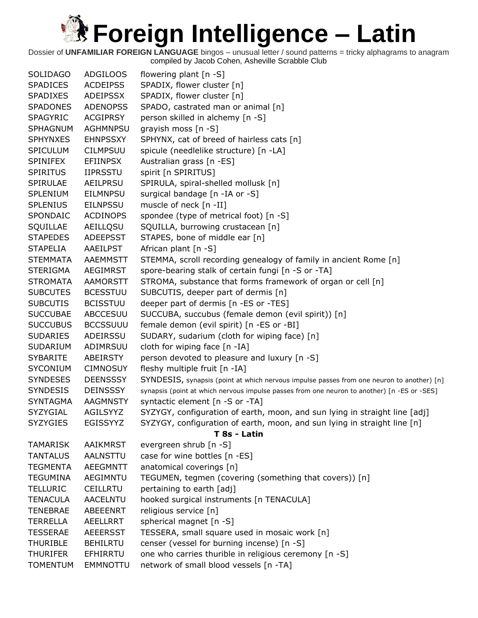| <b>SOLIDAGO</b> | <b>ADGILOOS</b> | flowering plant [n -S]                                                                      |
|-----------------|-----------------|---------------------------------------------------------------------------------------------|
| <b>SPADICES</b> | <b>ACDEIPSS</b> | SPADIX, flower cluster [n]                                                                  |
| <b>SPADIXES</b> | ADEIPSSX        | SPADIX, flower cluster [n]                                                                  |
| <b>SPADONES</b> | <b>ADENOPSS</b> | SPADO, castrated man or animal [n]                                                          |
| <b>SPAGYRIC</b> | <b>ACGIPRSY</b> | person skilled in alchemy [n -S]                                                            |
| <b>SPHAGNUM</b> | <b>AGHMNPSU</b> | grayish moss [n -S]                                                                         |
| <b>SPHYNXES</b> | <b>EHNPSSXY</b> | SPHYNX, cat of breed of hairless cats [n]                                                   |
| <b>SPICULUM</b> | <b>CILMPSUU</b> | spicule (needlelike structure) [n -LA]                                                      |
| <b>SPINIFEX</b> | <b>EFIINPSX</b> | Australian grass [n -ES]                                                                    |
| <b>SPIRITUS</b> | <b>IIPRSSTU</b> | spirit [n SPIRITUS]                                                                         |
| SPIRULAE        | AEILPRSU        | SPIRULA, spiral-shelled mollusk [n]                                                         |
| <b>SPLENIUM</b> | <b>EILMNPSU</b> | surgical bandage [n -IA or -S]                                                              |
| <b>SPLENIUS</b> | <b>EILNPSSU</b> | muscle of neck [n -II]                                                                      |
| SPONDAIC        | <b>ACDINOPS</b> | spondee (type of metrical foot) [n -S]                                                      |
| SQUILLAE        | AEILLQSU        | SQUILLA, burrowing crustacean [n]                                                           |
| <b>STAPEDES</b> | <b>ADEEPSST</b> | STAPES, bone of middle ear [n]                                                              |
| <b>STAPELIA</b> | AAEILPST        | African plant $[n - S]$                                                                     |
| <b>STEMMATA</b> | <b>AAEMMSTT</b> | STEMMA, scroll recording genealogy of family in ancient Rome [n]                            |
| <b>STERIGMA</b> | <b>AEGIMRST</b> | spore-bearing stalk of certain fungi [n -S or -TA]                                          |
| <b>STROMATA</b> | <b>AAMORSTT</b> | STROMA, substance that forms framework of organ or cell [n]                                 |
| <b>SUBCUTES</b> | <b>BCESSTUU</b> | SUBCUTIS, deeper part of dermis [n]                                                         |
| <b>SUBCUTIS</b> | <b>BCISSTUU</b> | deeper part of dermis [n -ES or -TES]                                                       |
| <b>SUCCUBAE</b> | ABCCESUU        | SUCCUBA, succubus (female demon (evil spirit)) [n]                                          |
| <b>SUCCUBUS</b> | <b>BCCSSUUU</b> | female demon (evil spirit) [n -ES or -BI]                                                   |
| <b>SUDARIES</b> | ADEIRSSU        | SUDARY, sudarium (cloth for wiping face) [n]                                                |
| <b>SUDARIUM</b> | ADIMRSUU        | cloth for wiping face [n -IA]                                                               |
| <b>SYBARITE</b> | ABEIRSTY        | person devoted to pleasure and luxury [n -S]                                                |
| <b>SYCONIUM</b> | <b>CIMNOSUY</b> | fleshy multiple fruit [n -IA]                                                               |
| <b>SYNDESES</b> | <b>DEENSSSY</b> | SYNDESIS, synapsis (point at which nervous impulse passes from one neuron to another) [n]   |
| <b>SYNDESIS</b> | <b>DEINSSSY</b> | synapsis (point at which nervous impulse passes from one neuron to another) [n -ES or -SES] |
| <b>SYNTAGMA</b> | <b>AAGMNSTY</b> | syntactic element [n -S or -TA]                                                             |
| SYZYGIAL        | AGILSYYZ        | SYZYGY, configuration of earth, moon, and sun lying in straight line [adj]                  |
| <b>SYZYGIES</b> | EGISSYYZ        | SYZYGY, configuration of earth, moon, and sun lying in straight line [n]                    |
|                 |                 | T 8s - Latin                                                                                |
| <b>TAMARISK</b> | <b>AAIKMRST</b> | evergreen shrub [n -S]                                                                      |
| <b>TANTALUS</b> | AALNSTTU        | case for wine bottles [n -ES]                                                               |
| <b>TEGMENTA</b> | <b>AEEGMNTT</b> | anatomical coverings [n]                                                                    |
| <b>TEGUMINA</b> | <b>AEGIMNTU</b> | TEGUMEN, tegmen (covering (something that covers)) [n]                                      |
| <b>TELLURIC</b> | <b>CEILLRTU</b> | pertaining to earth [adj]                                                                   |
| <b>TENACULA</b> | AACELNTU        | hooked surgical instruments [n TENACULA]                                                    |
| <b>TENEBRAE</b> | <b>ABEEENRT</b> | religious service [n]                                                                       |
| <b>TERRELLA</b> | AEELLRRT        | spherical magnet [n -S]                                                                     |
| <b>TESSERAE</b> | <b>AEEERSST</b> | TESSERA, small square used in mosaic work [n]                                               |
| <b>THURIBLE</b> | <b>BEHILRTU</b> | censer (vessel for burning incense) [n -S]                                                  |
| <b>THURIFER</b> | EFHIRRTU        | one who carries thurible in religious ceremony [n -S]                                       |
| <b>TOMENTUM</b> | EMMNOTTU        | network of small blood vessels [n -TA]                                                      |